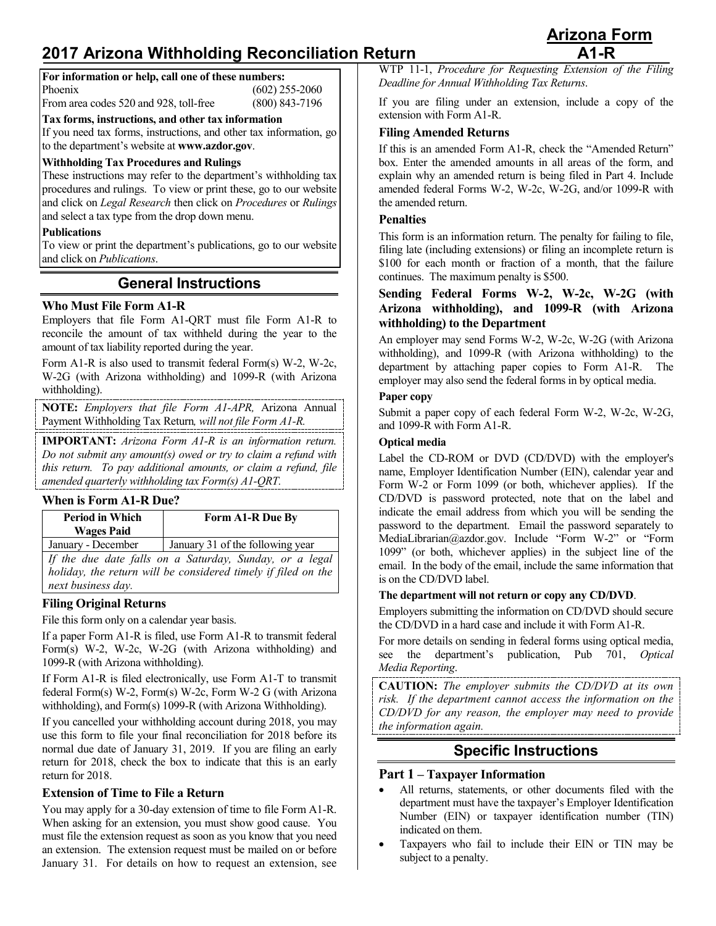# **2017 Arizona Withholding Reconciliation Return A1-R**

| For information or help, call one of these numbers: |                  |
|-----------------------------------------------------|------------------|
| Phoenix                                             | $(602)$ 255-2060 |
| From area codes 520 and 928, toll-free              | $(800)$ 843-7196 |

**Tax forms, instructions, and other tax information**

If you need tax forms, instructions, and other tax information, go to the department's website at **[www.azdor.gov](http://www.azdor.gov/)**.

### **Withholding Tax Procedures and Rulings**

These instructions may refer to the department's withholding tax procedures and rulings. To view or print these, go to our website and click on *Legal Research* then click on *Procedures* or *Rulings* and select a tax type from the drop down menu.

### **Publications**

To view or print the department's publications, go to our website and click on *Publications*.

## **General Instructions**

### **Who Must File Form A1-R**

Employers that file Form A1-QRT must file Form A1-R to reconcile the amount of tax withheld during the year to the amount of tax liability reported during the year.

Form A1-R is also used to transmit federal Form(s) W-2, W-2c, W-2G (with Arizona withholding) and 1099-R (with Arizona withholding).

**NOTE:** *Employers that file Form A1-APR,* Arizona Annual Payment Withholding Tax Return*, will not file Form A1-R.*

**IMPORTANT:** *Arizona Form A1-R is an information return. Do not submit any amount(s) owed or try to claim a refund with this return. To pay additional amounts, or claim a refund, file amended quarterly withholding tax Form(s) A1-QRT.*

### **When is Form A1-R Due?**

| <b>Period in Which</b><br><b>Wages Paid</b> | Form A1-R Due By                                                                                                         |
|---------------------------------------------|--------------------------------------------------------------------------------------------------------------------------|
| January - December                          | January 31 of the following year                                                                                         |
|                                             | If the due date falls on a Saturday, Sunday, or a legal<br>holiday, the return will be considered timely if filed on the |

*next business day.* **Filing Original Returns**

File this form only on a calendar year basis.

If a paper Form A1-R is filed, use Form A1-R to transmit federal Form(s) W-2, W-2c, W-2G (with Arizona withholding) and 1099-R (with Arizona withholding).

If Form A1-R is filed electronically, use Form A1-T to transmit federal Form(s) W-2, Form(s) W-2c, Form W-2 G (with Arizona withholding), and Form(s) 1099-R (with Arizona Withholding).

If you cancelled your withholding account during 2018, you may use this form to file your final reconciliation for 2018 before its normal due date of January 31, 2019. If you are filing an early return for 2018, check the box to indicate that this is an early return for 2018.

### **Extension of Time to File a Return**

You may apply for a 30-day extension of time to file Form A1-R. When asking for an extension, you must show good cause. You must file the extension request as soon as you know that you need an extension. The extension request must be mailed on or before January 31. For details on how to request an extension, see

WTP 11-1, *Procedure for Requesting Extension of the Filing Deadline for Annual Withholding Tax Returns*.

If you are filing under an extension, include a copy of the extension with Form A1-R.

### **Filing Amended Returns**

If this is an amended Form A1-R, check the "Amended Return" box. Enter the amended amounts in all areas of the form, and explain why an amended return is being filed in Part 4. Include amended federal Forms W-2, W-2c, W-2G, and/or 1099-R with the amended return.

### **Penalties**

This form is an information return. The penalty for failing to file, filing late (including extensions) or filing an incomplete return is \$100 for each month or fraction of a month, that the failure continues. The maximum penalty is \$500.

### **Sending Federal Forms W-2, W-2c, W-2G (with Arizona withholding), and 1099-R (with Arizona withholding) to the Department**

An employer may send Forms W-2, W-2c, W-2G (with Arizona withholding), and 1099-R (with Arizona withholding) to the department by attaching paper copies to Form A1-R. The employer may also send the federal forms in by optical media.

### **Paper copy**

Submit a paper copy of each federal Form W-2, W-2c, W-2G, and 1099-R with Form A1-R.

### **Optical media**

Label the CD-ROM or DVD (CD/DVD) with the employer's name, Employer Identification Number (EIN), calendar year and Form W-2 or Form 1099 (or both, whichever applies). If the CD/DVD is password protected, note that on the label and indicate the email address from which you will be sending the password to the department. Email the password separately to MediaLibrarian@azdor.gov. Include "Form W-2" or "Form 1099" (or both, whichever applies) in the subject line of the email. In the body of the email, include the same information that is on the CD/DVD label.

### **The department will not return or copy any CD/DVD**.

Employers submitting the information on CD/DVD should secure the CD/DVD in a hard case and include it with Form A1-R.

For more details on sending in federal forms using optical media, see the department's publication, Pub 701, *Optical Media Reporting*.

**CAUTION:** *The employer submits the CD/DVD at its own risk. If the department cannot access the information on the CD/DVD for any reason, the employer may need to provide the information again.* 

### **Specific Instructions**

### **Part 1 – Taxpayer Information**

- All returns, statements, or other documents filed with the department must have the taxpayer's Employer Identification Number (EIN) or taxpayer identification number (TIN) indicated on them.
- Taxpayers who fail to include their EIN or TIN may be subject to a penalty.

**Arizona Form**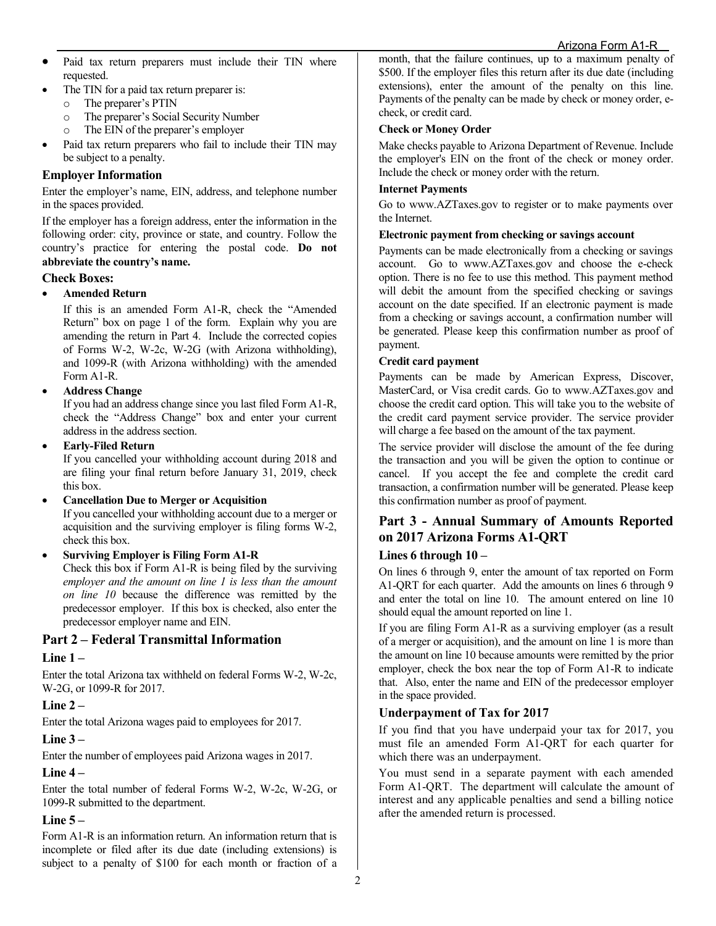- Paid tax return preparers must include their TIN where requested.
- The TIN for a paid tax return preparer is:
	- o The preparer's PTIN<br>
	o The preparer's Social
	- The preparer's Social Security Number
	- o The EIN of the preparer's employer
- Paid tax return preparers who fail to include their TIN may be subject to a penalty.

### **Employer Information**

Enter the employer's name, EIN, address, and telephone number in the spaces provided.

If the employer has a foreign address, enter the information in the following order: city, province or state, and country. Follow the country's practice for entering the postal code. **Do not abbreviate the country's name.**

### **Check Boxes:**

### • **Amended Return**

If this is an amended Form A1-R, check the "Amended Return" box on page 1 of the form. Explain why you are amending the return in Part 4. Include the corrected copies of Forms W-2, W-2c, W-2G (with Arizona withholding), and 1099-R (with Arizona withholding) with the amended Form A1-R.

### • **Address Change**

If you had an address change since you last filed Form A1-R, check the "Address Change" box and enter your current address in the address section.

### • **Early-Filed Return**

If you cancelled your withholding account during 2018 and are filing your final return before January 31, 2019, check this box.

### • **Cancellation Due to Merger or Acquisition**

If you cancelled your withholding account due to a merger or acquisition and the surviving employer is filing forms W-2, check this box.

### • **Surviving Employer is Filing Form A1-R**

Check this box if Form A1-R is being filed by the surviving *employer and the amount on line 1 is less than the amount on line 10* because the difference was remitted by the predecessor employer. If this box is checked, also enter the predecessor employer name and EIN.

### **Part 2 – Federal Transmittal Information**

### **Line 1 –**

Enter the total Arizona tax withheld on federal Forms W-2, W-2c, W-2G, or 1099-R for 2017.

### **Line 2 –**

Enter the total Arizona wages paid to employees for 2017.

### **Line 3 –**

Enter the number of employees paid Arizona wages in 2017.

### **Line 4 –**

Enter the total number of federal Forms W-2, W-2c, W-2G, or 1099-R submitted to the department.

### **Line 5 –**

Form A1-R is an information return. An information return that is incomplete or filed after its due date (including extensions) is subject to a penalty of \$100 for each month or fraction of a month, that the failure continues, up to a maximum penalty of \$500. If the employer files this return after its due date (including extensions), enter the amount of the penalty on this line. Payments of the penalty can be made by check or money order, echeck, or credit card.

### **Check or Money Order**

Make checks payable to Arizona Department of Revenue. Include the employer's EIN on the front of the check or money order. Include the check or money order with the return.

### **Internet Payments**

Go to [www.AZTaxes.gov](http://www.aztaxes.gov/) to register or to make payments over the Internet.

### **Electronic payment from checking or savings account**

Payments can be made electronically from a checking or savings account. Go to [www.AZTaxes.gov](http://www.aztaxes.gov/) and choose the e-check option. There is no fee to use this method. This payment method will debit the amount from the specified checking or savings account on the date specified. If an electronic payment is made from a checking or savings account, a confirmation number will be generated. Please keep this confirmation number as proof of payment.

### **Credit card payment**

Payments can be made by American Express, Discover, MasterCard, or Visa credit cards. Go to [www.AZTaxes.gov](http://www.aztaxes.gov/) and choose the credit card option. This will take you to the website of the credit card payment service provider. The service provider will charge a fee based on the amount of the tax payment.

The service provider will disclose the amount of the fee during the transaction and you will be given the option to continue or cancel. If you accept the fee and complete the credit card transaction, a confirmation number will be generated. Please keep this confirmation number as proof of payment.

# **Part 3 - Annual Summary of Amounts Reported on 2017 Arizona Forms A1-QRT**

### **Lines 6 through 10 –**

On lines 6 through 9, enter the amount of tax reported on Form A1-QRT for each quarter. Add the amounts on lines 6 through 9 and enter the total on line 10. The amount entered on line 10 should equal the amount reported on line 1.

If you are filing Form A1-R as a surviving employer (as a result of a merger or acquisition), and the amount on line 1 is more than the amount on line 10 because amounts were remitted by the prior employer, check the box near the top of Form A1-R to indicate that. Also, enter the name and EIN of the predecessor employer in the space provided.

### **Underpayment of Tax for 2017**

If you find that you have underpaid your tax for 2017, you must file an amended Form A1-QRT for each quarter for which there was an underpayment.

You must send in a separate payment with each amended Form A1-QRT. The department will calculate the amount of interest and any applicable penalties and send a billing notice after the amended return is processed.